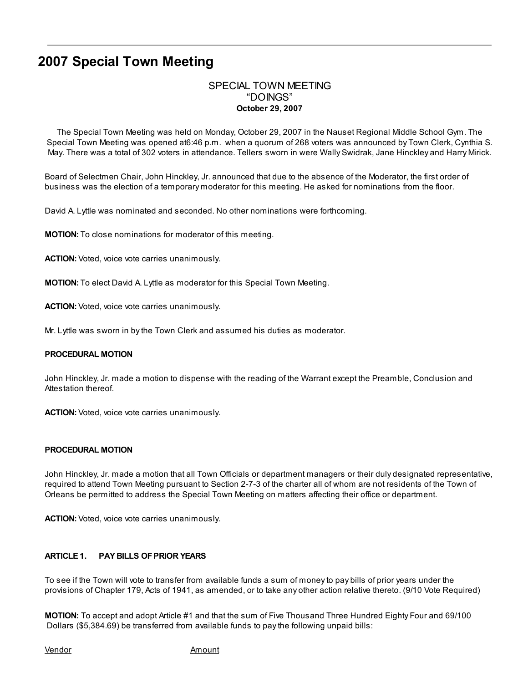# 2007 Special Town Meeting

# SPECIAL TOWN MEETING "DOINGS" October 29, 2007

The Special Town Meeting was held on Monday, October 29, 2007 in the Nauset Regional Middle School Gym. The Special Town Meeting was opened at6:46 p.m. when a quorum of 268 voters was announced by Town Clerk, Cynthia S. May. There was a total of 302 voters in attendance. Tellers sworn in were Wally Swidrak, Jane Hinckley and Harry Mirick.

Board of Selectmen Chair, John Hinckley, Jr. announced that due to the absence of the Moderator, the first order of business was the election of a temporary moderator for this meeting. He asked for nominations from the floor.

David A. Lyttle was nominated and seconded. No other nominations were forthcoming.

MOTION: To close nominations for moderator of this meeting.

ACTION: Voted, voice vote carries unanimously.

MOTION: To elect David A. Lyttle as moderator for this Special Town Meeting.

ACTION: Voted, voice vote carries unanimously.

Mr. Lyttle was sworn in by the Town Clerk and assumed his duties as moderator.

#### PROCEDURAL MOTION

John Hinckley, Jr. made a motion to dispense with the reading of the Warrant except the Preamble, Conclusion and Attestation thereof.

ACTION: Voted, voice vote carries unanimously.

#### PROCEDURAL MOTION

John Hinckley, Jr. made a motion that all Town Officials or department managers or their duly designated representative, required to attend Town Meeting pursuant to Section 2-7-3 of the charter all of whom are not residents of the Town of Orleans be permitted to address the Special Town Meeting on matters affecting their office or department.

ACTION: Voted, voice vote carries unanimously.

## ARTICLE 1. PAY BILLS OFPRIOR YEARS

To see if the Town will vote to transfer from available funds a sum of money to pay bills of prior years under the provisions of Chapter 179, Acts of 1941, as amended, or to take any other action relative thereto. (9/10 Vote Required)

MOTION: To accept and adopt Article #1 and that the sum of Five Thousand Three Hundred Eighty Four and 69/100 Dollars (\$5,384.69) be transferred from available funds to pay the following unpaid bills:

Vendor **Amount**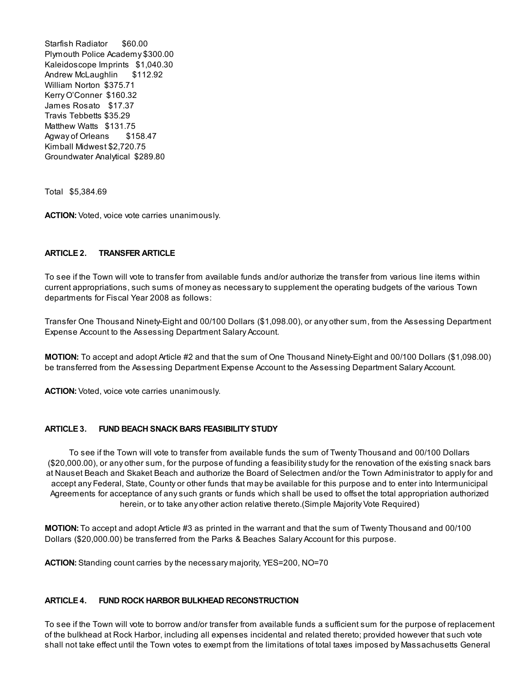Starfish Radiator \$60.00 Plymouth Police Academy \$300.00 Kaleidoscope Imprints \$1,040.30 Andrew McLaughlin \$112.92 William Norton \$375.71 Kerry O'Conner \$160.32 James Rosato \$17.37 Travis Tebbetts \$35.29 Matthew Watts \$131.75 Agway of Orleans \$158.47 Kimball Midwest \$2,720.75 Groundwater Analytical \$289.80

Total \$5,384.69

ACTION: Voted, voice vote carries unanimously.

## ARTICLE 2. TRANSFER ARTICLE

To see if the Town will vote to transfer from available funds and/or authorize the transfer from various line items within current appropriations, such sums of money as necessary to supplement the operating budgets of the various Town departments for Fiscal Year 2008 as follows:

Transfer One Thousand Ninety-Eight and 00/100 Dollars (\$1,098.00), or any other sum, from the Assessing Department Expense Account to the Assessing Department Salary Account.

MOTION: To accept and adopt Article #2 and that the sum of One Thousand Ninety-Eight and 00/100 Dollars (\$1,098.00) be transferred from the Assessing Department Expense Account to the Assessing Department Salary Account.

ACTION: Voted, voice vote carries unanimously.

## ARTICLE 3. FUND BEACH SNACK BARS FEASIBILITY STUDY

To see if the Town will vote to transfer from available funds the sum of Twenty Thousand and 00/100 Dollars (\$20,000.00), or any other sum, for the purpose of funding a feasibility study for the renovation of the existing snack bars at Nauset Beach and Skaket Beach and authorize the Board of Selectmen and/or the Town Administrator to apply for and accept any Federal, State, County or other funds that may be available for this purpose and to enter into Intermunicipal Agreements for acceptance of any such grants or funds which shall be used to offset the total appropriation authorized herein, or to take any other action relative thereto.(Simple Majority Vote Required)

MOTION: To accept and adopt Article #3 as printed in the warrant and that the sum of Twenty Thousand and 00/100 Dollars (\$20,000.00) be transferred from the Parks & Beaches Salary Account for this purpose.

ACTION: Standing count carries by the necessary majority, YES=200, NO=70

## ARTICLE 4. FUND ROCK HARBOR BULKHEAD RECONSTRUCTION

To see if the Town will vote to borrow and/or transfer from available funds a sufficient sum for the purpose of replacement of the bulkhead at Rock Harbor, including all expenses incidental and related thereto; provided however that such vote shall not take effect until the Town votes to exempt from the limitations of total taxes imposed by Massachusetts General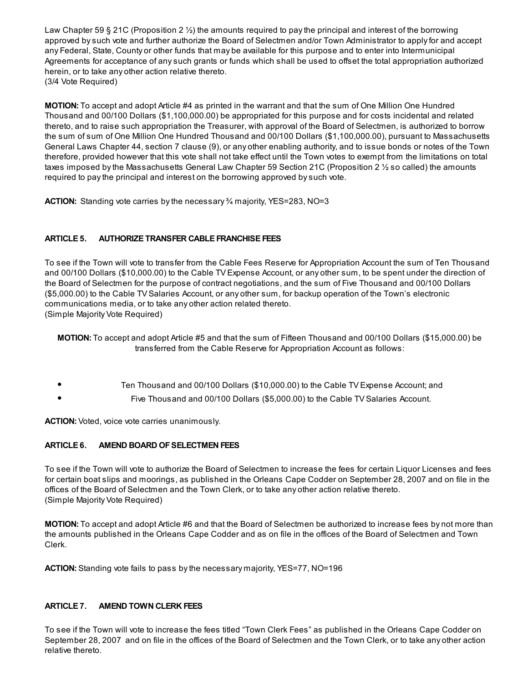Law Chapter 59 § 21C (Proposition 2  $\frac{1}{2}$ ) the amounts required to pay the principal and interest of the borrowing approved by such vote and further authorize the Board of Selectmen and/or Town Administrator to apply for and accept any Federal, State, County or other funds that may be available for this purpose and to enter into Intermunicipal Agreements for acceptance of any such grants or funds which shall be used to offset the total appropriation authorized herein, or to take any other action relative thereto. (3/4 Vote Required)

MOTION: To accept and adopt Article #4 as printed in the warrant and that the sum of One Million One Hundred Thousand and 00/100 Dollars (\$1,100,000.00) be appropriated for this purpose and for costs incidental and related thereto, and to raise such appropriation the Treasurer, with approval of the Board of Selectmen, is authorized to borrow the sum of sum of One Million One Hundred Thousand and 00/100 Dollars (\$1,100,000.00), pursuant to Massachusetts General Laws Chapter 44, section 7 clause (9), or any other enabling authority, and to issue bonds or notes of the Town therefore, provided however that this vote shall not take effect until the Town votes to exempt from the limitations on total taxes imposed by the Massachusetts General Law Chapter 59 Section 21C (Proposition 2 ½ so called) the amounts required to pay the principal and interest on the borrowing approved by such vote.

**ACTION:** Standing vote carries by the necessary  $\frac{3}{4}$  majority, YES=283, NO=3

## ARTICLE 5. AUTHORIZE TRANSFER CABLE FRANCHISE FEES

To see if the Town will vote to transfer from the Cable Fees Reserve for Appropriation Account the sum of Ten Thousand and 00/100 Dollars (\$10,000.00) to the Cable TV Expense Account, or any other sum, to be spent under the direction of the Board of Selectmen for the purpose of contract negotiations, and the sum of Five Thousand and 00/100 Dollars (\$5,000.00) to the Cable TV Salaries Account, or any other sum, for backup operation of the Town's electronic communications media, or to take any other action related thereto. (Simple Majority Vote Required)

MOTION: To accept and adopt Article #5 and that the sum of Fifteen Thousand and 00/100 Dollars (\$15,000.00) be transferred from the Cable Reserve for Appropriation Account as follows:

- Ten Thousand and 00/100 Dollars (\$10,000.00) to the Cable TV Expense Account; and
- Five Thousand and 00/100 Dollars (\$5,000.00) to the Cable TV Salaries Account.

ACTION: Voted, voice vote carries unanimously.

## ARTICLE 6. AMEND BOARD OF SELECTMEN FEES

To see if the Town will vote to authorize the Board of Selectmen to increase the fees for certain Liquor Licenses and fees for certain boat slips and moorings, as published in the Orleans Cape Codder on September 28, 2007 and on file in the offices of the Board of Selectmen and the Town Clerk, or to take any other action relative thereto. (Simple Majority Vote Required)

MOTION: To accept and adopt Article #6 and that the Board of Selectmen be authorized to increase fees by not more than the amounts published in the Orleans Cape Codder and as on file in the offices of the Board of Selectmen and Town Clerk.

ACTION: Standing vote fails to pass by the necessary majority, YES=77, NO=196

## ARTICLE 7. AMEND TOWN CLERK FEES

To see if the Town will vote to increase the fees titled "Town Clerk Fees" as published in the Orleans Cape Codder on September 28, 2007 and on file in the offices of the Board of Selectmen and the Town Clerk, or to take any other action relative thereto.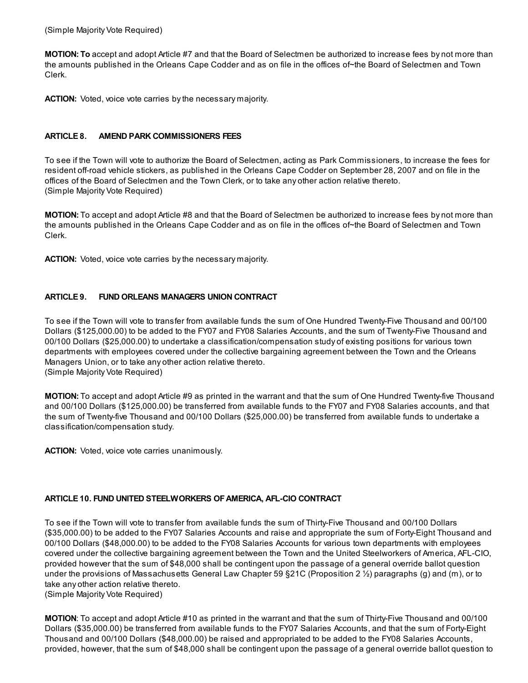MOTION: To accept and adopt Article #7 and that the Board of Selectmen be authorized to increase fees by not more than the amounts published in the Orleans Cape Codder and as on file in the offices of~the Board of Selectmen and Town Clerk.

ACTION: Voted, voice vote carries by the necessary majority.

## ARTICLE 8. AMEND PARK COMMISSIONERS FEES

To see if the Town will vote to authorize the Board of Selectmen, acting as Park Commissioners, to increase the fees for resident off-road vehicle stickers, as published in the Orleans Cape Codder on September 28, 2007 and on file in the offices of the Board of Selectmen and the Town Clerk, or to take any other action relative thereto. (Simple Majority Vote Required)

MOTION: To accept and adopt Article #8 and that the Board of Selectmen be authorized to increase fees by not more than the amounts published in the Orleans Cape Codder and as on file in the offices of~the Board of Selectmen and Town Clerk.

ACTION: Voted, voice vote carries by the necessary majority.

## ARTICLE 9. FUND ORLEANS MANAGERS UNION CONTRACT

To see if the Town will vote to transfer from available funds the sum of One Hundred Twenty-Five Thousand and 00/100 Dollars (\$125,000.00) to be added to the FY07 and FY08 Salaries Accounts, and the sum of Twenty-Five Thousand and 00/100 Dollars (\$25,000.00) to undertake a classification/compensation study of existing positions for various town departments with employees covered under the collective bargaining agreement between the Town and the Orleans Managers Union, or to take any other action relative thereto. (Simple Majority Vote Required)

MOTION: To accept and adopt Article #9 as printed in the warrant and that the sum of One Hundred Twenty-five Thousand and 00/100 Dollars (\$125,000.00) be transferred from available funds to the FY07 and FY08 Salaries accounts, and that the sum of Twenty-five Thousand and 00/100 Dollars (\$25,000.00) be transferred from available funds to undertake a classification/compensation study.

ACTION: Voted, voice vote carries unanimously.

## ARTICLE 10. FUND UNITED STEELWORKERS OF AMERICA, AFL-CIO CONTRACT

To see if the Town will vote to transfer from available funds the sum of Thirty-Five Thousand and 00/100 Dollars (\$35,000.00) to be added to the FY07 Salaries Accounts and raise and appropriate the sum of Forty-Eight Thousand and 00/100 Dollars (\$48,000.00) to be added to the FY08 Salaries Accounts for various town departments with employees covered under the collective bargaining agreement between the Town and the United Steelworkers of America, AFL-CIO, provided however that the sum of \$48,000 shall be contingent upon the passage of a general override ballot question under the provisions of Massachusetts General Law Chapter 59 §21C (Proposition 2 ½) paragraphs (g) and (m), or to take any other action relative thereto.

(Simple Majority Vote Required)

MOTION: To accept and adopt Article #10 as printed in the warrant and that the sum of Thirty-Five Thousand and 00/100 Dollars (\$35,000.00) be transferred from available funds to the FY07 Salaries Accounts, and that the sum of Forty-Eight Thousand and 00/100 Dollars (\$48,000.00) be raised and appropriated to be added to the FY08 Salaries Accounts, provided, however, that the sum of \$48,000 shall be contingent upon the passage of a general override ballot question to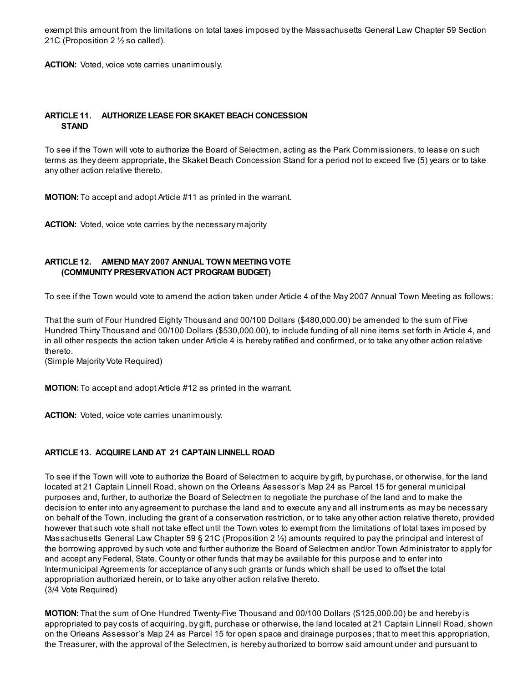exempt this amount from the limitations on total taxes imposed by the Massachusetts General Law Chapter 59 Section 21C (Proposition 2 ½ so called).

ACTION: Voted, voice vote carries unanimously.

## ARTICLE 11. AUTHORIZE LEASE FOR SKAKET BEACH CONCESSION **STAND**

To see if the Town will vote to authorize the Board of Selectmen, acting as the Park Commissioners, to lease on such terms as they deem appropriate, the Skaket Beach Concession Stand for a period not to exceed five (5) years or to take any other action relative thereto.

MOTION: To accept and adopt Article #11 as printed in the warrant.

ACTION: Voted, voice vote carries by the necessary majority

## ARTICLE 12. AMEND MAY 2007 ANNUAL TOWN MEETINGVOTE (COMMUNITY PRESERVATION ACT PROGRAM BUDGET)

To see if the Town would vote to amend the action taken under Article 4 of the May 2007 Annual Town Meeting as follows:

That the sum of Four Hundred Eighty Thousand and 00/100 Dollars (\$480,000.00) be amended to the sum of Five Hundred Thirty Thousand and 00/100 Dollars (\$530,000.00), to include funding of all nine items set forth in Article 4, and in all other respects the action taken under Article 4 is hereby ratified and confirmed, or to take any other action relative thereto.

(Simple Majority Vote Required)

MOTION: To accept and adopt Article #12 as printed in the warrant.

ACTION: Voted, voice vote carries unanimously.

## ARTICLE 13. ACQUIRE LAND AT 21 CAPTAIN LINNELL ROAD

To see if the Town will vote to authorize the Board of Selectmen to acquire by gift, by purchase, or otherwise, for the land located at 21 Captain Linnell Road, shown on the Orleans Assessor's Map 24 as Parcel 15 for general municipal purposes and, further, to authorize the Board of Selectmen to negotiate the purchase of the land and to make the decision to enter into any agreement to purchase the land and to execute any and all instruments as may be necessary on behalf of the Town, including the grant of a conservation restriction, or to take any other action relative thereto, provided however that such vote shall not take effect until the Town votes to exempt from the limitations of total taxes imposed by Massachusetts General Law Chapter 59 § 21C (Proposition 2 ½) amounts required to pay the principal and interest of the borrowing approved by such vote and further authorize the Board of Selectmen and/or Town Administrator to apply for and accept any Federal, State, County or other funds that may be available for this purpose and to enter into Intermunicipal Agreements for acceptance of any such grants or funds which shall be used to offset the total appropriation authorized herein, or to take any other action relative thereto. (3/4 Vote Required)

MOTION: That the sum of One Hundred Twenty-Five Thousand and 00/100 Dollars (\$125,000.00) be and hereby is appropriated to pay costs of acquiring, by gift, purchase or otherwise, the land located at 21 Captain Linnell Road, shown on the Orleans Assessor's Map 24 as Parcel 15 for open space and drainage purposes; that to meet this appropriation, the Treasurer, with the approval of the Selectmen, is hereby authorized to borrow said amount under and pursuant to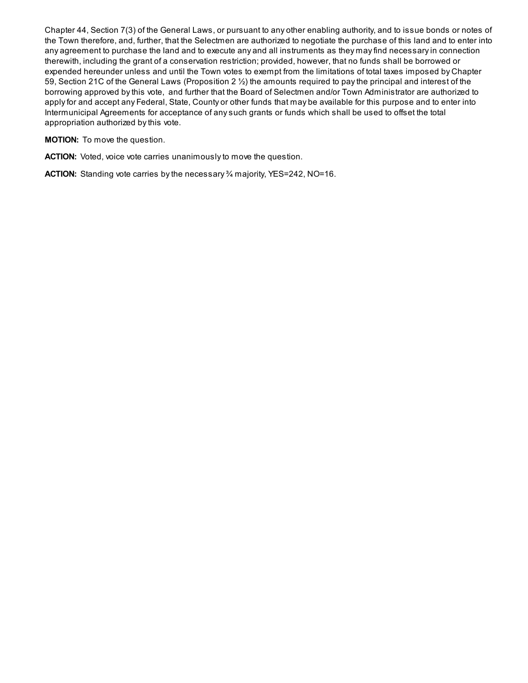Chapter 44, Section 7(3) of the General Laws, or pursuant to any other enabling authority, and to issue bonds or notes of the Town therefore, and, further, that the Selectmen are authorized to negotiate the purchase of this land and to enter into any agreement to purchase the land and to execute any and all instruments as they may find necessary in connection therewith, including the grant of a conservation restriction; provided, however, that no funds shall be borrowed or expended hereunder unless and until the Town votes to exempt from the limitations of total taxes imposed by Chapter 59, Section 21C of the General Laws (Proposition 2 ½) the amounts required to pay the principal and interest of the borrowing approved by this vote, and further that the Board of Selectmen and/or Town Administrator are authorized to apply for and accept any Federal, State, County or other funds that may be available for this purpose and to enter into Intermunicipal Agreements for acceptance of any such grants or funds which shall be used to offset the total appropriation authorized by this vote.

MOTION: To move the question.

ACTION: Voted, voice vote carries unanimously to move the question.

ACTION: Standing vote carries by the necessary % majority, YES=242, NO=16.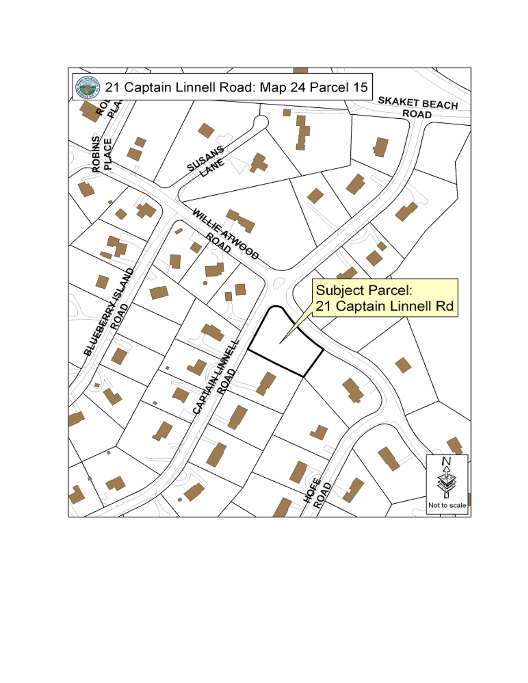